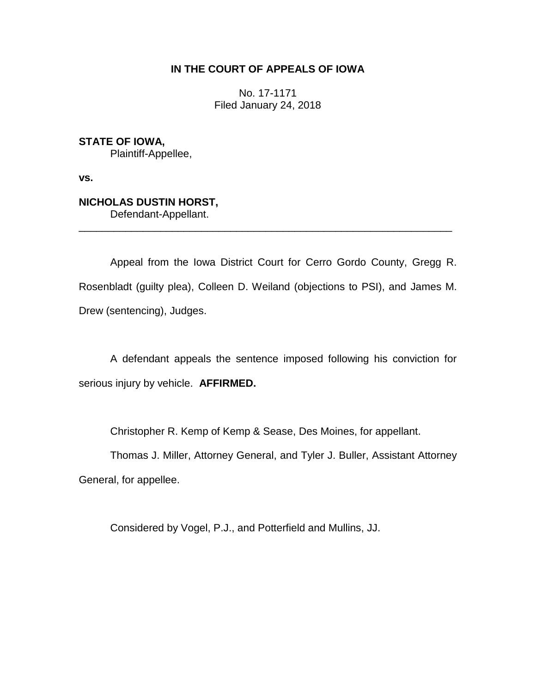# **IN THE COURT OF APPEALS OF IOWA**

No. 17-1171 Filed January 24, 2018

**STATE OF IOWA,** Plaintiff-Appellee,

**vs.**

# **NICHOLAS DUSTIN HORST,**

Defendant-Appellant.

Appeal from the Iowa District Court for Cerro Gordo County, Gregg R. Rosenbladt (guilty plea), Colleen D. Weiland (objections to PSI), and James M. Drew (sentencing), Judges.

\_\_\_\_\_\_\_\_\_\_\_\_\_\_\_\_\_\_\_\_\_\_\_\_\_\_\_\_\_\_\_\_\_\_\_\_\_\_\_\_\_\_\_\_\_\_\_\_\_\_\_\_\_\_\_\_\_\_\_\_\_\_\_\_

A defendant appeals the sentence imposed following his conviction for serious injury by vehicle. **AFFIRMED.**

Christopher R. Kemp of Kemp & Sease, Des Moines, for appellant.

Thomas J. Miller, Attorney General, and Tyler J. Buller, Assistant Attorney General, for appellee.

Considered by Vogel, P.J., and Potterfield and Mullins, JJ.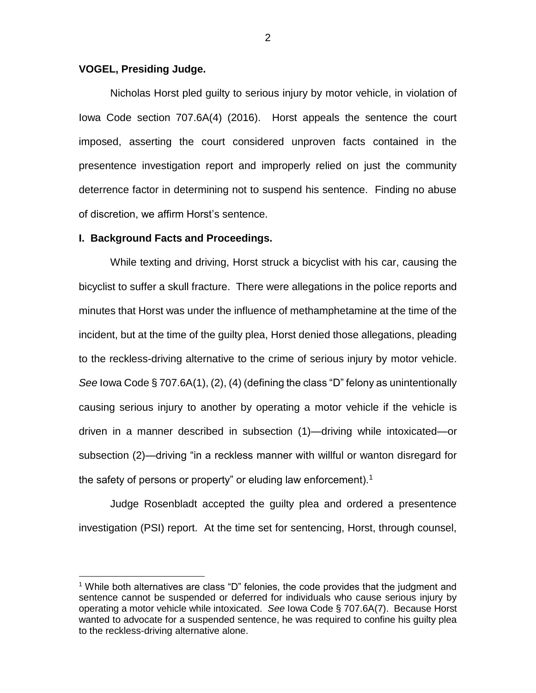## **VOGEL, Presiding Judge.**

Nicholas Horst pled guilty to serious injury by motor vehicle, in violation of Iowa Code section 707.6A(4) (2016). Horst appeals the sentence the court imposed, asserting the court considered unproven facts contained in the presentence investigation report and improperly relied on just the community deterrence factor in determining not to suspend his sentence. Finding no abuse of discretion, we affirm Horst's sentence.

#### **I. Background Facts and Proceedings.**

 $\overline{a}$ 

While texting and driving, Horst struck a bicyclist with his car, causing the bicyclist to suffer a skull fracture. There were allegations in the police reports and minutes that Horst was under the influence of methamphetamine at the time of the incident, but at the time of the guilty plea, Horst denied those allegations, pleading to the reckless-driving alternative to the crime of serious injury by motor vehicle. *See* Iowa Code § 707.6A(1), (2), (4) (defining the class "D" felony as unintentionally causing serious injury to another by operating a motor vehicle if the vehicle is driven in a manner described in subsection (1)—driving while intoxicated—or subsection (2)—driving "in a reckless manner with willful or wanton disregard for the safety of persons or property" or eluding law enforcement).<sup>1</sup>

Judge Rosenbladt accepted the guilty plea and ordered a presentence investigation (PSI) report. At the time set for sentencing, Horst, through counsel,

<sup>&</sup>lt;sup>1</sup> While both alternatives are class "D" felonies, the code provides that the judgment and sentence cannot be suspended or deferred for individuals who cause serious injury by operating a motor vehicle while intoxicated. *See* Iowa Code § 707.6A(7). Because Horst wanted to advocate for a suspended sentence, he was required to confine his guilty plea to the reckless-driving alternative alone.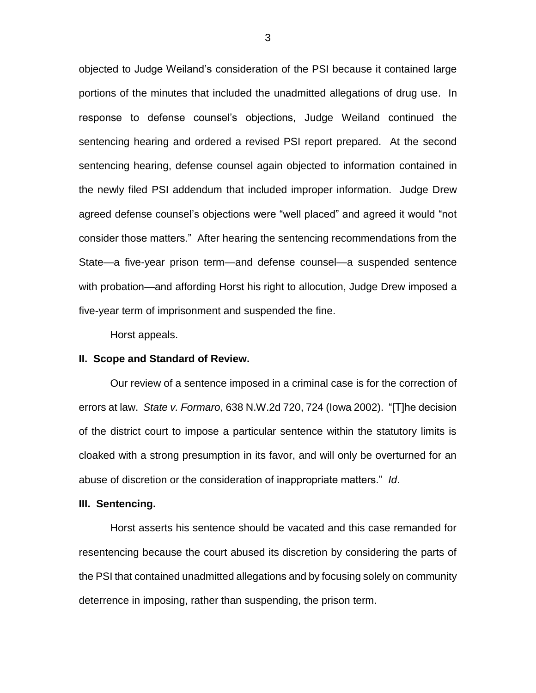objected to Judge Weiland's consideration of the PSI because it contained large portions of the minutes that included the unadmitted allegations of drug use. In response to defense counsel's objections, Judge Weiland continued the sentencing hearing and ordered a revised PSI report prepared. At the second sentencing hearing, defense counsel again objected to information contained in the newly filed PSI addendum that included improper information. Judge Drew agreed defense counsel's objections were "well placed" and agreed it would "not consider those matters." After hearing the sentencing recommendations from the State—a five-year prison term—and defense counsel—a suspended sentence with probation—and affording Horst his right to allocution, Judge Drew imposed a five-year term of imprisonment and suspended the fine.

Horst appeals.

### **II. Scope and Standard of Review.**

Our review of a sentence imposed in a criminal case is for the correction of errors at law. *State v. Formaro*, 638 N.W.2d 720, 724 (Iowa 2002). "[T]he decision of the district court to impose a particular sentence within the statutory limits is cloaked with a strong presumption in its favor, and will only be overturned for an abuse of discretion or the consideration of inappropriate matters." *Id*.

#### **III. Sentencing.**

Horst asserts his sentence should be vacated and this case remanded for resentencing because the court abused its discretion by considering the parts of the PSI that contained unadmitted allegations and by focusing solely on community deterrence in imposing, rather than suspending, the prison term.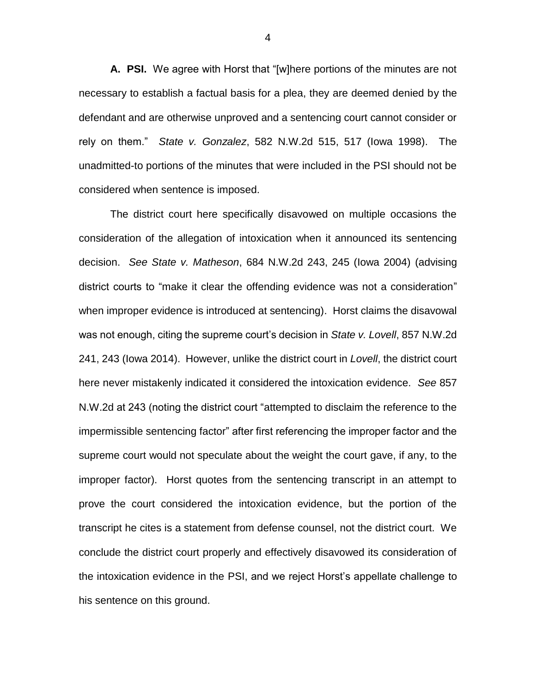**A. PSI.** We agree with Horst that "[w]here portions of the minutes are not necessary to establish a factual basis for a plea, they are deemed denied by the defendant and are otherwise unproved and a sentencing court cannot consider or rely on them." *State v. Gonzalez*, 582 N.W.2d 515, 517 (Iowa 1998). The unadmitted-to portions of the minutes that were included in the PSI should not be considered when sentence is imposed.

The district court here specifically disavowed on multiple occasions the consideration of the allegation of intoxication when it announced its sentencing decision. *See State v. Matheson*, 684 N.W.2d 243, 245 (Iowa 2004) (advising district courts to "make it clear the offending evidence was not a consideration" when improper evidence is introduced at sentencing). Horst claims the disavowal was not enough, citing the supreme court's decision in *State v. Lovell*, 857 N.W.2d 241, 243 (Iowa 2014). However, unlike the district court in *Lovell*, the district court here never mistakenly indicated it considered the intoxication evidence. *See* 857 N.W.2d at 243 (noting the district court "attempted to disclaim the reference to the impermissible sentencing factor" after first referencing the improper factor and the supreme court would not speculate about the weight the court gave, if any, to the improper factor). Horst quotes from the sentencing transcript in an attempt to prove the court considered the intoxication evidence, but the portion of the transcript he cites is a statement from defense counsel, not the district court. We conclude the district court properly and effectively disavowed its consideration of the intoxication evidence in the PSI, and we reject Horst's appellate challenge to his sentence on this ground.

4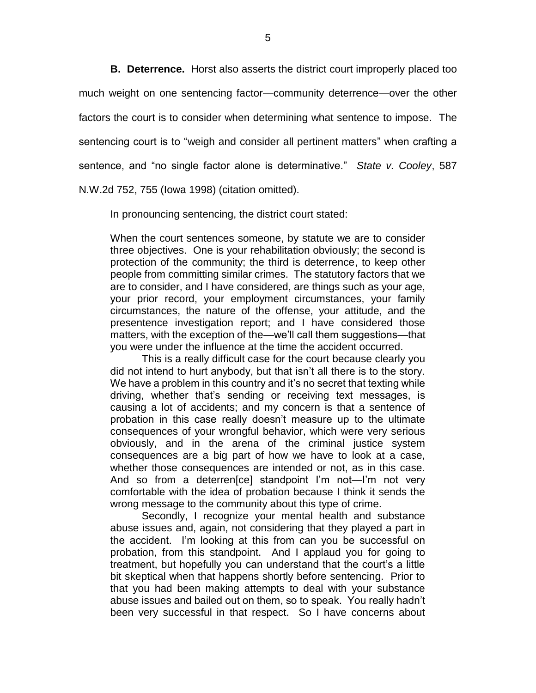**B. Deterrence.** Horst also asserts the district court improperly placed too much weight on one sentencing factor—community deterrence—over the other factors the court is to consider when determining what sentence to impose. The sentencing court is to "weigh and consider all pertinent matters" when crafting a sentence, and "no single factor alone is determinative." *State v. Cooley*, 587 N.W.2d 752, 755 (Iowa 1998) (citation omitted).

In pronouncing sentencing, the district court stated:

When the court sentences someone, by statute we are to consider three objectives. One is your rehabilitation obviously; the second is protection of the community; the third is deterrence, to keep other people from committing similar crimes. The statutory factors that we are to consider, and I have considered, are things such as your age, your prior record, your employment circumstances, your family circumstances, the nature of the offense, your attitude, and the presentence investigation report; and I have considered those matters, with the exception of the—we'll call them suggestions—that you were under the influence at the time the accident occurred.

This is a really difficult case for the court because clearly you did not intend to hurt anybody, but that isn't all there is to the story. We have a problem in this country and it's no secret that texting while driving, whether that's sending or receiving text messages, is causing a lot of accidents; and my concern is that a sentence of probation in this case really doesn't measure up to the ultimate consequences of your wrongful behavior, which were very serious obviously, and in the arena of the criminal justice system consequences are a big part of how we have to look at a case, whether those consequences are intended or not, as in this case. And so from a deterren[ce] standpoint I'm not—I'm not very comfortable with the idea of probation because I think it sends the wrong message to the community about this type of crime.

Secondly, I recognize your mental health and substance abuse issues and, again, not considering that they played a part in the accident. I'm looking at this from can you be successful on probation, from this standpoint. And I applaud you for going to treatment, but hopefully you can understand that the court's a little bit skeptical when that happens shortly before sentencing. Prior to that you had been making attempts to deal with your substance abuse issues and bailed out on them, so to speak. You really hadn't been very successful in that respect. So I have concerns about